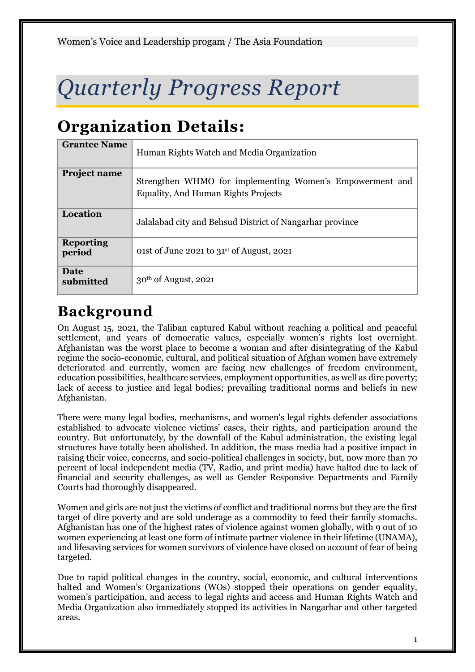# *Quarterly Progress Report*

# **Organization Details:**

| <b>Grantee Name</b>        | Human Rights Watch and Media Organization                                                              |
|----------------------------|--------------------------------------------------------------------------------------------------------|
| <b>Project name</b>        | Strengthen WHMO for implementing Women's Empowerment and<br><b>Equality, And Human Rights Projects</b> |
| Location                   | Jalalabad city and Behsud District of Nangarhar province                                               |
| <b>Reporting</b><br>period | 01st of June 2021 to $31st$ of August, 2021                                                            |
| Date<br>submitted          | $30th$ of August, 2021                                                                                 |

# **Background**

On August 15, 2021, the Taliban captured Kabul without reaching a political and peaceful settlement, and years of democratic values, especially women's rights lost overnight. Afghanistan was the worst place to become a woman and after disintegrating of the Kabul regime the socio-economic, cultural, and political situation of Afghan women have extremely deteriorated and currently, women are facing new challenges of freedom environment, education possibilities, healthcare services, employment opportunities, as well as dire poverty; lack of access to justice and legal bodies; prevailing traditional norms and beliefs in new Afghanistan.

There were many legal bodies, mechanisms, and women's legal rights defender associations established to advocate violence victims' cases, their rights, and participation around the country. But unfortunately, by the downfall of the Kabul administration, the existing legal structures have totally been abolished. In addition, the mass media had a positive impact in raising their voice, concerns, and socio-political challenges in society, but, now more than 70 percent of local independent media (TV, Radio, and print media) have halted due to lack of financial and security challenges, as well as Gender Responsive Departments and Family Courts had thoroughly disappeared.

Women and girls are not just the victims of conflict and traditional norms but they are the first target of dire poverty and are sold underage as a commodity to feed their family stomachs. Afghanistan has one of the highest rates of violence against women globally, with 9 out of 10 women experiencing at least one form of intimate partner violence in their lifetime (UNAMA), and lifesaving services for women survivors of violence have closed on account of fear of being targeted.

Due to rapid political changes in the country, social, economic, and cultural interventions halted and Women's Organizations (WOs) stopped their operations on gender equality, women's participation, and access to legal rights and access and Human Rights Watch and Media Organization also immediately stopped its activities in Nangarhar and other targeted areas.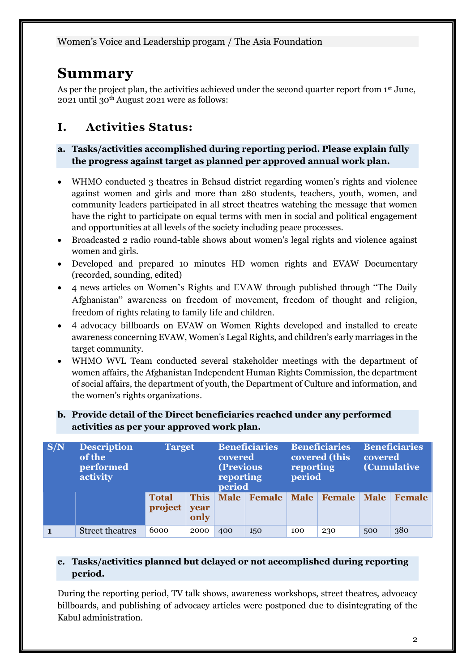# **Summary**

As per the project plan, the activities achieved under the second quarter report from 1<sup>st</sup> June, 2021 until 30th August 2021 were as follows:

# **I. Activities Status:**

#### **a. Tasks/activities accomplished during reporting period. Please explain fully the progress against target as planned per approved annual work plan.**

- WHMO conducted 3 theatres in Behsud district regarding women's rights and violence against women and girls and more than 280 students, teachers, youth, women, and community leaders participated in all street theatres watching the message that women have the right to participate on equal terms with men in social and political engagement and opportunities at all levels of the society including peace processes.
- Broadcasted 2 radio round-table shows about women's legal rights and violence against women and girls.
- Developed and prepared 10 minutes HD women rights and EVAW Documentary (recorded, sounding, edited)
- 4 news articles on Women's Rights and EVAW through published through "The Daily Afghanistan" awareness on freedom of movement, freedom of thought and religion, freedom of rights relating to family life and children.
- 4 advocacy billboards on EVAW on Women Rights developed and installed to create awareness concerning EVAW, Women's Legal Rights, and children's early marriages in the target community.
- WHMO WVL Team conducted several stakeholder meetings with the department of women affairs, the Afghanistan Independent Human Rights Commission, the department of social affairs, the department of youth, the Department of Culture and information, and the women's rights organizations.

| b. Provide detail of the Direct beneficiaries reached under any performed |
|---------------------------------------------------------------------------|
| activities as per your approved work plan.                                |

| S/N | <b>Description</b><br><b>Target</b><br>of the<br>performed<br>activity |                         | <b>Beneficiaries</b><br>covered<br>(Previous<br>reporting<br>period |             | <b>Beneficiaries</b><br>covered (this<br>reporting<br>period |     | <b>Beneficiaries</b><br>covered<br><b>(Cumulative)</b> |             |               |
|-----|------------------------------------------------------------------------|-------------------------|---------------------------------------------------------------------|-------------|--------------------------------------------------------------|-----|--------------------------------------------------------|-------------|---------------|
|     |                                                                        | <b>Total</b><br>project | <b>This</b><br>year<br>only                                         | <b>Male</b> | Female                                                       |     | Male   Female                                          | <b>Male</b> | <b>Female</b> |
|     | <b>Street theatres</b>                                                 | 6000                    | 2000                                                                | 400         | 150                                                          | 100 | 230                                                    | 500         | 380           |

#### **c. Tasks/activities planned but delayed or not accomplished during reporting period.**

During the reporting period, TV talk shows, awareness workshops, street theatres, advocacy billboards, and publishing of advocacy articles were postponed due to disintegrating of the Kabul administration.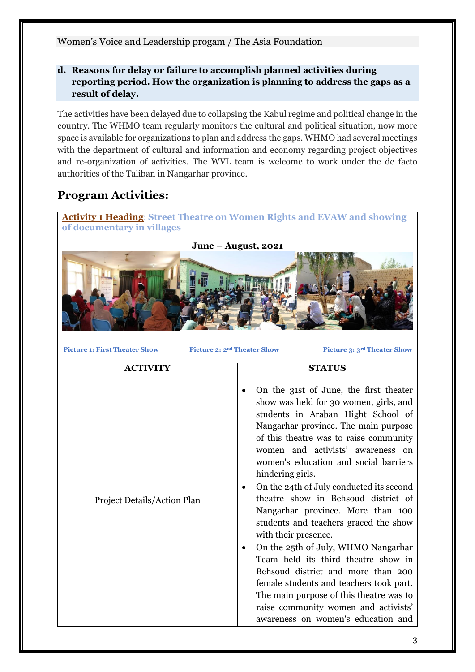#### **d. Reasons for delay or failure to accomplish planned activities during reporting period. How the organization is planning to address the gaps as a result of delay.**

The activities have been delayed due to collapsing the Kabul regime and political change in the country. The WHMO team regularly monitors the cultural and political situation, now more space is available for organizations to plan and address the gaps. WHMO had several meetings with the department of cultural and information and economy regarding project objectives and re-organization of activities. The WVL team is welcome to work under the de facto authorities of the Taliban in Nangarhar province.

## **Program Activities:**

**Activity 1 Heading**: **Street Theatre on Women Rights and EVAW and showing of documentary in villages**



**Picture 1: First Theater Show Picture 2: 2nd Theater Show Picture 3: 3rd Theater Show**

**ACTIVITY STATUS**  Project Details/Action Plan • On the 31st of June, the first theater show was held for 30 women, girls, and students in Araban Hight School of Nangarhar province. The main purpose of this theatre was to raise community women and activists' awareness on women's education and social barriers hindering girls. • On the 24th of July conducted its second theatre show in Behsoud district of Nangarhar province. More than 100 students and teachers graced the show with their presence. • On the 25th of July, WHMO Nangarhar Team held its third theatre show in Behsoud district and more than 200 female students and teachers took part. The main purpose of this theatre was to raise community women and activists' awareness on women's education and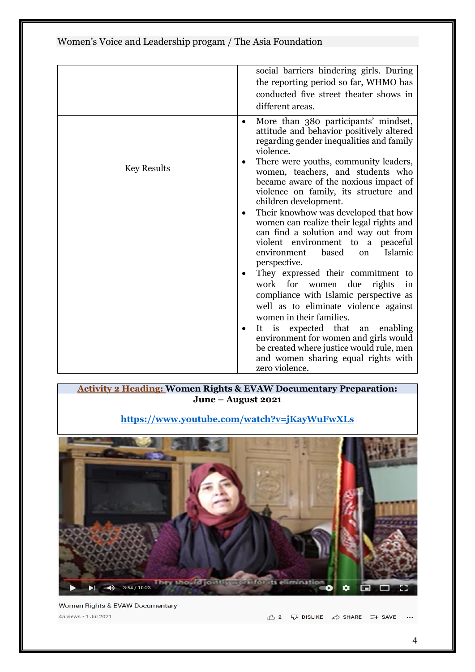|                    | social barriers hindering girls. During                                                                                                                                                                                     |
|--------------------|-----------------------------------------------------------------------------------------------------------------------------------------------------------------------------------------------------------------------------|
|                    | the reporting period so far, WHMO has                                                                                                                                                                                       |
|                    | conducted five street theater shows in                                                                                                                                                                                      |
|                    | different areas.                                                                                                                                                                                                            |
|                    | More than 380 participants' mindset,<br>٠<br>attitude and behavior positively altered<br>regarding gender inequalities and family<br>violence.                                                                              |
| <b>Key Results</b> | There were youths, community leaders,<br>women, teachers, and students who<br>became aware of the noxious impact of<br>violence on family, its structure and<br>children development.                                       |
|                    | Their knowhow was developed that how<br>٠<br>women can realize their legal rights and<br>can find a solution and way out from<br>violent environment to a peaceful<br>Islamic<br>based<br>environment<br>on<br>perspective. |
|                    | They expressed their commitment to<br>work for women due<br>rights<br>in<br>compliance with Islamic perspective as<br>well as to eliminate violence against<br>women in their families.                                     |
|                    | It is expected that an<br>enabling<br>environment for women and girls would<br>be created where justice would rule, men<br>and women sharing equal rights with<br>zero violence.                                            |

#### **Activity 2 Heading: Women Rights & EVAW Documentary Preparation: June – August 2021**

#### **<https://www.youtube.com/watch?v=jKayWuFwXLs>**



Women Rights & EVAW Documentary 45 views • 1 Jul 2021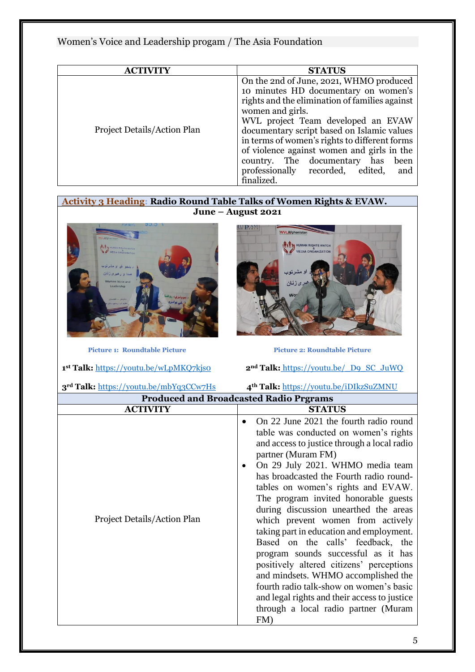| <b>ACTIVITY</b>             | <b>STATUS</b>                                                                                                                                                                                                                                                                                                                                                                                                                             |
|-----------------------------|-------------------------------------------------------------------------------------------------------------------------------------------------------------------------------------------------------------------------------------------------------------------------------------------------------------------------------------------------------------------------------------------------------------------------------------------|
| Project Details/Action Plan | On the 2nd of June, 2021, WHMO produced<br>10 minutes HD documentary on women's<br>rights and the elimination of families against<br>women and girls.<br>WVL project Team developed an EVAW<br>documentary script based on Islamic values<br>in terms of women's rights to different forms<br>of violence against women and girls in the<br>country. The documentary has<br>been<br>professionally recorded, edited,<br>and<br>finalized. |

**Activity 3 Heading: Radio Round Table Talks of Women Rights & EVAW. June – August 2021**

AU P.AM.

WVLAfgh



Picture 1: Roundtable Picture **Picture 2: Roundtable Picture** 

1<sup>st</sup> Talk: https://youtu.be/wLpMKQ7kjso

**3rd Talk:** <https://youtu.be/mbYq3CCw7Hs>**4th Talk:** <https://youtu.be/iDIkzSuZMNU>

**z<sup>nd</sup> Talk:** https://youtu.be/ D9 SC JuWQ

| <b>Produced and Broadcasted Radio Prgrams</b> |                                                                                                                                                                                                                                                                                                                                                                                                                                                                                                                                                                                                                                                                                                                                                      |  |  |
|-----------------------------------------------|------------------------------------------------------------------------------------------------------------------------------------------------------------------------------------------------------------------------------------------------------------------------------------------------------------------------------------------------------------------------------------------------------------------------------------------------------------------------------------------------------------------------------------------------------------------------------------------------------------------------------------------------------------------------------------------------------------------------------------------------------|--|--|
| <b>ACTIVITY</b>                               | <b>STATUS</b>                                                                                                                                                                                                                                                                                                                                                                                                                                                                                                                                                                                                                                                                                                                                        |  |  |
| Project Details/Action Plan                   | On 22 June 2021 the fourth radio round<br>table was conducted on women's rights<br>and access to justice through a local radio<br>partner (Muram FM)<br>On 29 July 2021. WHMO media team<br>has broadcasted the Fourth radio round-<br>tables on women's rights and EVAW.<br>The program invited honorable guests<br>during discussion unearthed the areas<br>which prevent women from actively<br>taking part in education and employment.<br>Based on the calls' feedback, the<br>program sounds successful as it has<br>positively altered citizens' perceptions<br>and mindsets. WHMO accomplished the<br>fourth radio talk-show on women's basic<br>and legal rights and their access to justice<br>through a local radio partner (Muram<br>FM) |  |  |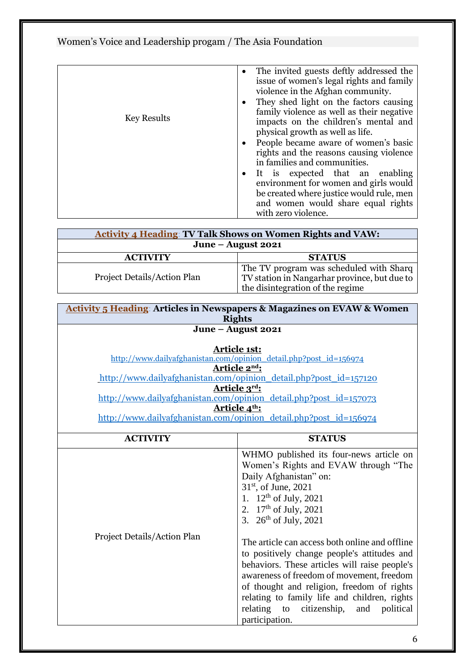| <b>Key Results</b> | • The invited guests deftly addressed the<br>issue of women's legal rights and family<br>violence in the Afghan community.<br>They shed light on the factors causing<br>family violence as well as their negative<br>impacts on the children's mental and<br>physical growth as well as life.<br>• People became aware of women's basic<br>rights and the reasons causing violence<br>in families and communities.<br>• It is expected that an enabling<br>environment for women and girls would<br>be created where justice would rule, men<br>and women would share equal rights<br>with zero violence. |
|--------------------|-----------------------------------------------------------------------------------------------------------------------------------------------------------------------------------------------------------------------------------------------------------------------------------------------------------------------------------------------------------------------------------------------------------------------------------------------------------------------------------------------------------------------------------------------------------------------------------------------------------|

| <b>Activity 4 Heading: TV Talk Shows on Women Rights and VAW:</b> |                                                                                                                             |  |
|-------------------------------------------------------------------|-----------------------------------------------------------------------------------------------------------------------------|--|
| June – August 2021                                                |                                                                                                                             |  |
| <b>ACTIVITY</b>                                                   | <b>STATUS</b>                                                                                                               |  |
| Project Details/Action Plan                                       | The TV program was scheduled with Sharq<br>TV station in Nangarhar province, but due to<br>the disintegration of the regime |  |

| <b>Activity 5 Heading: Articles in Newspapers &amp; Magazines on EVAW &amp; Women</b><br><b>Rights</b>                                                                                                                                                                                                                                                  |                                                                                                                                                                                                                                                                                                                                                                                                                                                                                                                                                                                                    |  |
|---------------------------------------------------------------------------------------------------------------------------------------------------------------------------------------------------------------------------------------------------------------------------------------------------------------------------------------------------------|----------------------------------------------------------------------------------------------------------------------------------------------------------------------------------------------------------------------------------------------------------------------------------------------------------------------------------------------------------------------------------------------------------------------------------------------------------------------------------------------------------------------------------------------------------------------------------------------------|--|
| June – August 2021                                                                                                                                                                                                                                                                                                                                      |                                                                                                                                                                                                                                                                                                                                                                                                                                                                                                                                                                                                    |  |
| <b>Article 1st:</b><br>http://www.dailyafghanistan.com/opinion_detail.php?post_id=156974<br>Article 2nd:<br>http://www.dailyafghanistan.com/opinion_detail.php?post_id=157120<br>Article 3rd:<br>http://www.dailyafghanistan.com/opinion_detail.php?post_id=157073<br>Article 4th:<br>http://www.dailyafghanistan.com/opinion detail.php?post id=156974 |                                                                                                                                                                                                                                                                                                                                                                                                                                                                                                                                                                                                    |  |
| <b>ACTIVITY</b>                                                                                                                                                                                                                                                                                                                                         | <b>STATUS</b>                                                                                                                                                                                                                                                                                                                                                                                                                                                                                                                                                                                      |  |
| Project Details/Action Plan                                                                                                                                                                                                                                                                                                                             | WHMO published its four-news article on<br>Women's Rights and EVAW through "The<br>Daily Afghanistan" on:<br>$31st$ , of June, 2021<br>1. $12^{th}$ of July, 2021<br>2. $17^{th}$ of July, 2021<br>3. $26^{th}$ of July, 2021<br>The article can access both online and offline<br>to positively change people's attitudes and<br>behaviors. These articles will raise people's<br>awareness of freedom of movement, freedom<br>of thought and religion, freedom of rights<br>relating to family life and children, rights<br>relating<br>citizenship,<br>political<br>to<br>and<br>participation. |  |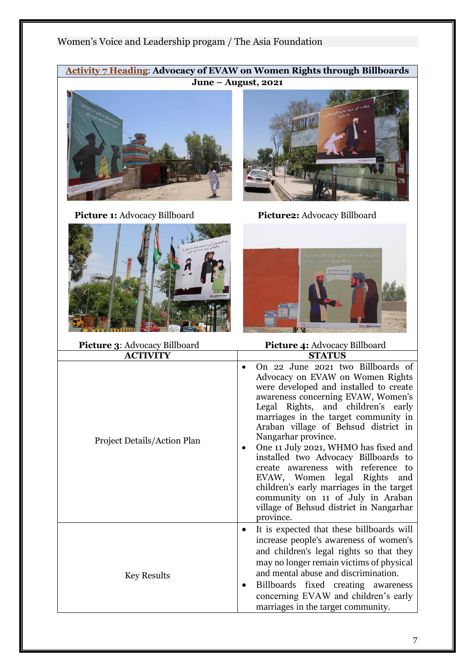**Activity 7 Heading**: **Advocacy of EVAW on Women Rights through Billboards June – August, 2021**



**Picture 1:** Advocacy Billboard **Picture2:** Advocacy Billboard





| Picture 3: Advocacy Billboard | Picture 4: Advocacy Billboard                                                                                                                                                                                                                                                                                                                                                                                                                                                                                                                                                                                          |  |  |
|-------------------------------|------------------------------------------------------------------------------------------------------------------------------------------------------------------------------------------------------------------------------------------------------------------------------------------------------------------------------------------------------------------------------------------------------------------------------------------------------------------------------------------------------------------------------------------------------------------------------------------------------------------------|--|--|
| <b>ACTIVITY</b>               | <b>STATUS</b>                                                                                                                                                                                                                                                                                                                                                                                                                                                                                                                                                                                                          |  |  |
| Project Details/Action Plan   | On 22 June 2021 two Billboards of<br>$\bullet$<br>Advocacy on EVAW on Women Rights<br>were developed and installed to create<br>awareness concerning EVAW, Women's<br>Legal Rights, and children's early<br>marriages in the target community in<br>Araban village of Behsud district in<br>Nangarhar province.<br>One 11 July 2021, WHMO has fixed and<br>٠<br>installed two Advocacy Billboards to<br>create awareness with reference to<br>EVAW, Women legal Rights<br>and<br>children's early marriages in the target<br>community on 11 of July in Araban<br>village of Behsud district in Nangarhar<br>province. |  |  |
| <b>Key Results</b>            | It is expected that these billboards will<br>increase people's awareness of women's<br>and children's legal rights so that they<br>may no longer remain victims of physical<br>and mental abuse and discrimination.<br>Billboards fixed creating awareness<br>$\bullet$<br>concerning EVAW and children's early<br>marriages in the target community.                                                                                                                                                                                                                                                                  |  |  |

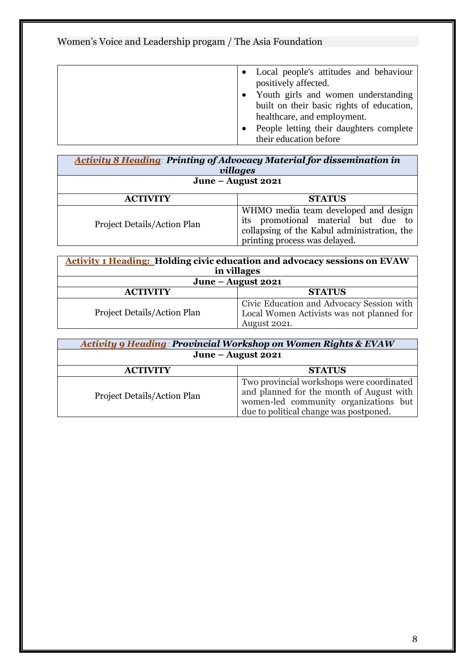|  | • Local people's attitudes and behaviour<br>positively affected.                 |
|--|----------------------------------------------------------------------------------|
|  | Youth girls and women understanding<br>built on their basic rights of education, |
|  | healthcare, and employment.                                                      |
|  | People letting their daughters complete                                          |
|  | their education before                                                           |

| <b>Activity 8 Heading: Printing of Advocacy Material for dissemination in</b><br>villages |                                                                                                                                                             |  |
|-------------------------------------------------------------------------------------------|-------------------------------------------------------------------------------------------------------------------------------------------------------------|--|
| June - August 2021                                                                        |                                                                                                                                                             |  |
| <b>ACTIVITY</b>                                                                           | <b>STATUS</b>                                                                                                                                               |  |
| Project Details/Action Plan                                                               | WHMO media team developed and design<br>its promotional material but due to<br>collapsing of the Kabul administration, the<br>printing process was delayed. |  |

| <b>Activity 1 Heading: Holding civic education and advocacy sessions on EVAW</b><br>in villages |                                                                                                        |  |
|-------------------------------------------------------------------------------------------------|--------------------------------------------------------------------------------------------------------|--|
| June – August 2021                                                                              |                                                                                                        |  |
| <b>ACTIVITY</b>                                                                                 | <b>STATUS</b>                                                                                          |  |
| Project Details/Action Plan                                                                     | Civic Education and Advocacy Session with<br>Local Women Activists was not planned for<br>August 2021. |  |

| <b>Activity 9 Heading: Provincial Workshop on Women Rights &amp; EVAW</b> |                                                                                                                                                                          |  |
|---------------------------------------------------------------------------|--------------------------------------------------------------------------------------------------------------------------------------------------------------------------|--|
| June $-$ August 2021                                                      |                                                                                                                                                                          |  |
| <b>ACTIVITY</b>                                                           | <b>STATUS</b>                                                                                                                                                            |  |
| Project Details/Action Plan                                               | Two provincial workshops were coordinated<br>and planned for the month of August with<br>women-led community organizations but<br>due to political change was postponed. |  |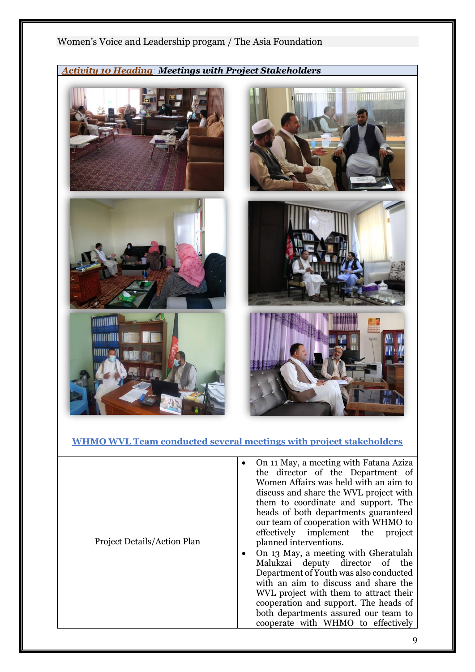# Women's Voice and Leadership progam / The Asia Foundation *Activity 10 Heading: Meetings with Project Stakeholders* **TITULIANI ANGLICA ANGLICA ANGLICA ANGLICA ANGLICA ANGLICA ANGLICA ANGLICA ANGLICA ANGLICA ANGLICA ANGLICA ANG** *TANDONIA* **TITHINII**

#### **WHMO WVL Team conducted several meetings with project stakeholders**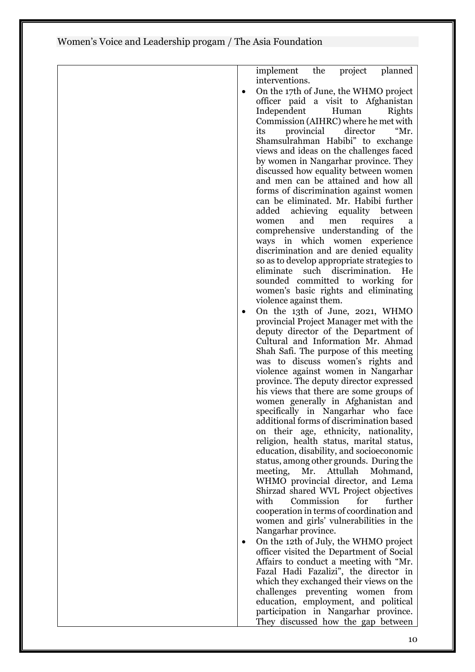|   | planned<br>implement<br>the<br>project                                         |
|---|--------------------------------------------------------------------------------|
|   | interventions.                                                                 |
|   | On the 17th of June, the WHMO project                                          |
|   | officer paid a visit to Afghanistan                                            |
|   | Independent<br>Human<br>Rights                                                 |
|   | Commission (AIHRC) where he met with                                           |
|   | "Mr.<br>provincial<br>director<br>its                                          |
|   | Shamsulrahman Habibi" to exchange                                              |
|   | views and ideas on the challenges faced                                        |
|   | by women in Nangarhar province. They                                           |
|   | discussed how equality between women                                           |
|   | and men can be attained and how all                                            |
|   | forms of discrimination against women<br>can be eliminated. Mr. Habibi further |
|   | added achieving equality between                                               |
|   | and men<br>women<br>requires<br>a                                              |
|   | comprehensive understanding of the                                             |
|   | ways in which women experience                                                 |
|   | discrimination and are denied equality                                         |
|   | so as to develop appropriate strategies to                                     |
|   | eliminate<br>such discrimination.<br>He                                        |
|   | sounded committed to working for                                               |
|   | women's basic rights and eliminating                                           |
|   | violence against them.                                                         |
|   | On the 13th of June, 2021, WHMO                                                |
|   | provincial Project Manager met with the                                        |
|   | deputy director of the Department of                                           |
|   | Cultural and Information Mr. Ahmad                                             |
|   | Shah Safi. The purpose of this meeting                                         |
|   | was to discuss women's rights and<br>violence against women in Nangarhar       |
|   | province. The deputy director expressed                                        |
|   | his views that there are some groups of                                        |
|   | women generally in Afghanistan and                                             |
|   | specifically in Nangarhar who face                                             |
|   | additional forms of discrimination based                                       |
|   | on their age, ethnicity, nationality,                                          |
|   | religion, health status, marital status,                                       |
|   | education, disability, and socioeconomic                                       |
|   | status, among other grounds. During the                                        |
|   | meeting,<br>Mr.<br>Attullah<br>Mohmand,                                        |
|   | WHMO provincial director, and Lema                                             |
|   | Shirzad shared WVL Project objectives<br>with<br>Commission<br>further<br>for  |
|   | cooperation in terms of coordination and                                       |
|   | women and girls' vulnerabilities in the                                        |
|   | Nangarhar province.                                                            |
| ٠ | On the 12th of July, the WHMO project                                          |
|   | officer visited the Department of Social                                       |
|   | Affairs to conduct a meeting with "Mr.                                         |
|   | Fazal Hadi Fazalizi", the director in                                          |
|   | which they exchanged their views on the                                        |
|   | challenges preventing women from                                               |
|   | education, employment, and political                                           |
|   | participation in Nangarhar province.                                           |
|   | They discussed how the gap between                                             |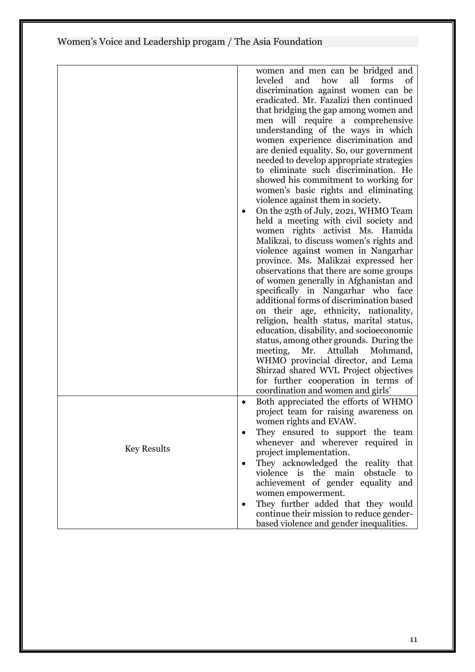|                    | women and men can be bridged and<br>leveled<br>how<br>and<br>all<br>forms<br>of    |
|--------------------|------------------------------------------------------------------------------------|
|                    | discrimination against women can be                                                |
|                    | eradicated. Mr. Fazalizi then continued                                            |
|                    | that bridging the gap among women and                                              |
|                    | men will require a comprehensive                                                   |
|                    | understanding of the ways in which<br>women experience discrimination and          |
|                    | are denied equality. So, our government                                            |
|                    | needed to develop appropriate strategies                                           |
|                    | to eliminate such discrimination. He                                               |
|                    | showed his commitment to working for                                               |
|                    | women's basic rights and eliminating                                               |
|                    | violence against them in society.<br>On the 25th of July, 2021, WHMO Team          |
|                    | held a meeting with civil society and                                              |
|                    | women rights activist Ms. Hamida                                                   |
|                    | Malikzai, to discuss women's rights and                                            |
|                    | violence against women in Nangarhar                                                |
|                    | province. Ms. Malikzai expressed her                                               |
|                    | observations that there are some groups<br>of women generally in Afghanistan and   |
|                    | specifically in Nangarhar who face                                                 |
|                    | additional forms of discrimination based                                           |
|                    | on their age, ethnicity, nationality,                                              |
|                    | religion, health status, marital status,                                           |
|                    | education, disability, and socioeconomic                                           |
|                    | status, among other grounds. During the<br>Attullah<br>meeting,<br>Mr.<br>Mohmand, |
|                    | WHMO provincial director, and Lema                                                 |
|                    | Shirzad shared WVL Project objectives                                              |
|                    | for further cooperation in terms of                                                |
|                    | coordination and women and girls'                                                  |
|                    | Both appreciated the efforts of WHMO<br>$\bullet$                                  |
|                    | project team for raising awareness on<br>women rights and EVAW.                    |
|                    | They ensured to support the team                                                   |
|                    | whenever and wherever required in                                                  |
| <b>Key Results</b> | project implementation.                                                            |
|                    | They acknowledged the reality that<br>$\bullet$                                    |
|                    | violence is the main<br>obstacle<br>to                                             |
|                    | achievement of gender equality and                                                 |
|                    | women empowerment.<br>They further added that they would<br>$\bullet$              |
|                    | continue their mission to reduce gender-                                           |
|                    | based violence and gender inequalities.                                            |